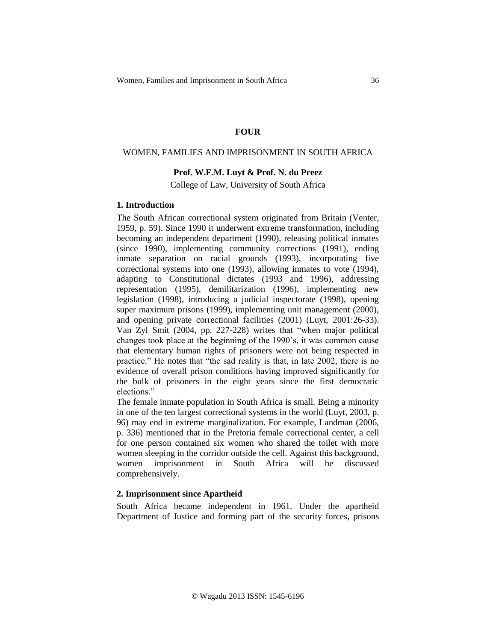## **FOUR**

## WOMEN, FAMILIES AND IMPRISONMENT IN SOUTH AFRICA

## **Prof. W.F.M. Luyt & Prof. N. du Preez**

College of Law, University of South Africa

## **1. Introduction**

The South African correctional system originated from Britain (Venter, 1959, p. 59). Since 1990 it underwent extreme transformation, including becoming an independent department (1990), releasing political inmates (since 1990), implementing community corrections (1991), ending inmate separation on racial grounds (1993), incorporating five correctional systems into one (1993), allowing inmates to vote (1994), adapting to Constitutional dictates (1993 and 1996), addressing representation (1995), demilitarization (1996), implementing new legislation (1998), introducing a judicial inspectorate (1998), opening super maximum prisons (1999), implementing unit management (2000), and opening private correctional facilities (2001) (Luyt, 2001:26-33). Van Zyl Smit (2004, pp. 227-228) writes that "when major political changes took place at the beginning of the 1990's, it was common cause that elementary human rights of prisoners were not being respected in practice." He notes that "the sad reality is that, in late 2002, there is no evidence of overall prison conditions having improved significantly for the bulk of prisoners in the eight years since the first democratic elections."

The female inmate population in South Africa is small. Being a minority in one of the ten largest correctional systems in the world (Luyt, 2003, p. 96) may end in extreme marginalization. For example, Landman (2006, p. 336) mentioned that in the Pretoria female correctional center, a cell for one person contained six women who shared the toilet with more women sleeping in the corridor outside the cell. Against this background, women imprisonment in South Africa will be discussed comprehensively.

## **2. Imprisonment since Apartheid**

South Africa became independent in 1961. Under the apartheid Department of Justice and forming part of the security forces, prisons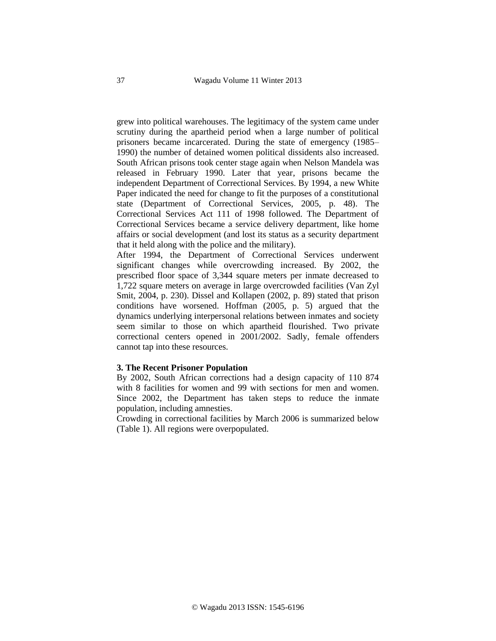grew into political warehouses. The legitimacy of the system came under scrutiny during the apartheid period when a large number of political prisoners became incarcerated. During the state of emergency (1985– 1990) the number of detained women political dissidents also increased. South African prisons took center stage again when Nelson Mandela was released in February 1990. Later that year, prisons became the independent Department of Correctional Services. By 1994, a new White Paper indicated the need for change to fit the purposes of a constitutional state (Department of Correctional Services, 2005, p. 48). The Correctional Services Act 111 of 1998 followed. The Department of Correctional Services became a service delivery department, like home affairs or social development (and lost its status as a security department that it held along with the police and the military).

After 1994, the Department of Correctional Services underwent significant changes while overcrowding increased. By 2002, the prescribed floor space of 3,344 square meters per inmate decreased to 1,722 square meters on average in large overcrowded facilities (Van Zyl Smit, 2004, p. 230). Dissel and Kollapen (2002, p. 89) stated that prison conditions have worsened. Hoffman (2005, p. 5) argued that the dynamics underlying interpersonal relations between inmates and society seem similar to those on which apartheid flourished. Two private correctional centers opened in 2001/2002. Sadly, female offenders cannot tap into these resources.

### **3. The Recent Prisoner Population**

By 2002, South African corrections had a design capacity of 110 874 with 8 facilities for women and 99 with sections for men and women. Since 2002, the Department has taken steps to reduce the inmate population, including amnesties.

Crowding in correctional facilities by March 2006 is summarized below (Table 1). All regions were overpopulated.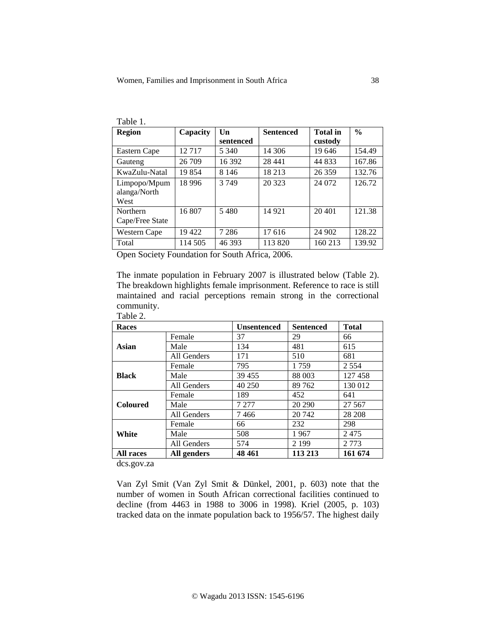| Table 1.                             |          |                              |                  |                            |               |
|--------------------------------------|----------|------------------------------|------------------|----------------------------|---------------|
| <b>Region</b>                        | Capacity | $\mathbf{I}$ In<br>sentenced | <b>Sentenced</b> | <b>Total</b> in<br>custody | $\frac{0}{0}$ |
| Eastern Cape                         | 12717    | 5 340                        | 14 306           | 19 646                     | 154.49        |
| Gauteng                              | 26 709   | 16 392                       | 28 441           | 44 833                     | 167.86        |
| KwaZulu-Natal                        | 19854    | 8 1 4 6                      | 18 213           | 26 359                     | 132.76        |
| Limpopo/Mpum<br>alanga/North<br>West | 18 9 96  | 3749                         | 20 323           | 24 072                     | 126.72        |
| Northern<br>Cape/Free State          | 16 807   | 5480                         | 14 9 21          | 20 401                     | 121.38        |
| <b>Western Cape</b>                  | 19422    | 7 2 8 6                      | 17616            | 24 902                     | 128.22        |
| Total                                | 114 505  | 46 393                       | 113 820          | 160 213                    | 139.92        |

Open Society Foundation for South Africa, 2006.

The inmate population in February 2007 is illustrated below (Table 2). The breakdown highlights female imprisonment. Reference to race is still maintained and racial perceptions remain strong in the correctional community.

| Table 2.         |             |                    |                  |              |
|------------------|-------------|--------------------|------------------|--------------|
| <b>Races</b>     |             | <b>Unsentenced</b> | <b>Sentenced</b> | <b>Total</b> |
| Asian            | Female      | 37                 | 29               | 66           |
|                  | Male        | 134                | 481              | 615          |
|                  | All Genders | 171                | 510              | 681          |
| <b>Black</b>     | Female      | 795                | 1759             | 2 5 5 4      |
|                  | Male        | 39 455             | 88 003           | 127458       |
|                  | All Genders | 40 250             | 89762            | 130 012      |
| <b>Coloured</b>  | Female      | 189                | 452              | 641          |
|                  | Male        | 7 277              | 20 290           | 27 5 67      |
|                  | All Genders | 7466               | 20 742           | 28 208       |
| White            | Female      | 66                 | 232              | 298          |
|                  | Male        | 508                | 1967             | 2475         |
|                  | All Genders | 574                | 2 1 9 9          | 2 7 7 3      |
| <b>All races</b> | All genders | 48 4 61            | 113 213          | 161 674      |

dcs.gov.za

Van Zyl Smit (Van Zyl Smit & Dünkel, 2001, p. 603) note that the number of women in South African correctional facilities continued to decline (from 4463 in 1988 to 3006 in 1998). Kriel (2005, p. 103) tracked data on the inmate population back to 1956/57. The highest daily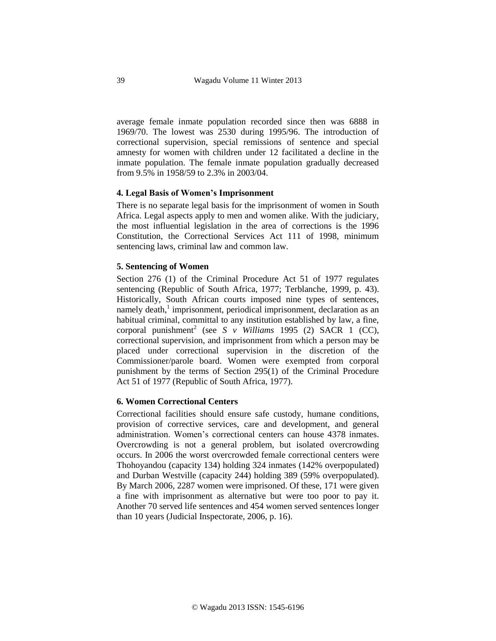average female inmate population recorded since then was 6888 in 1969/70. The lowest was 2530 during 1995/96. The introduction of correctional supervision, special remissions of sentence and special amnesty for women with children under 12 facilitated a decline in the inmate population. The female inmate population gradually decreased from 9.5% in 1958/59 to 2.3% in 2003/04.

## **4. Legal Basis of Women's Imprisonment**

There is no separate legal basis for the imprisonment of women in South Africa. Legal aspects apply to men and women alike. With the judiciary, the most influential legislation in the area of corrections is the 1996 Constitution, the Correctional Services Act 111 of 1998, minimum sentencing laws, criminal law and common law.

## **5. Sentencing of Women**

Section 276 (1) of the Criminal Procedure Act 51 of 1977 regulates sentencing (Republic of South Africa, 1977; Terblanche, 1999, p. 43). Historically, South African courts imposed nine types of sentences, namely death,<sup>1</sup> imprisonment, periodical imprisonment, declaration as an habitual criminal, committal to any institution established by law, a fine, corporal punishment<sup>2</sup> (see *S v Williams* 1995 (2) SACR 1 (CC), correctional supervision, and imprisonment from which a person may be placed under correctional supervision in the discretion of the Commissioner/parole board. Women were exempted from corporal punishment by the terms of Section 295(1) of the Criminal Procedure Act 51 of 1977 (Republic of South Africa, 1977).

### **6. Women Correctional Centers**

Correctional facilities should ensure safe custody, humane conditions, provision of corrective services, care and development, and general administration. Women's correctional centers can house 4378 inmates. Overcrowding is not a general problem, but isolated overcrowding occurs. In 2006 the worst overcrowded female correctional centers were Thohoyandou (capacity 134) holding 324 inmates (142% overpopulated) and Durban Westville (capacity 244) holding 389 (59% overpopulated). By March 2006, 2287 women were imprisoned. Of these, 171 were given a fine with imprisonment as alternative but were too poor to pay it. Another 70 served life sentences and 454 women served sentences longer than 10 years (Judicial Inspectorate, 2006, p. 16).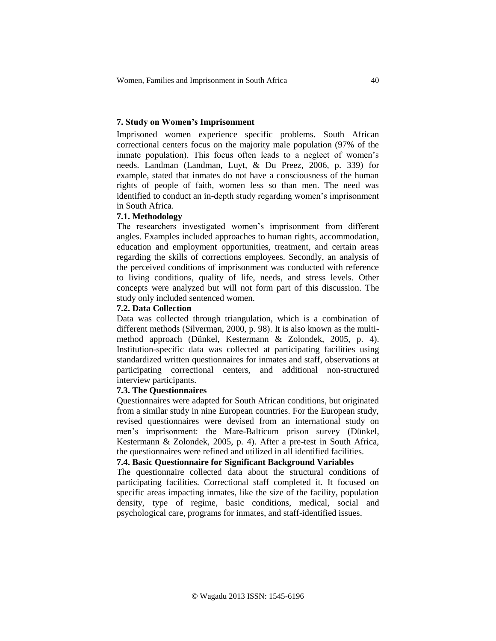## **7. Study on Women's Imprisonment**

Imprisoned women experience specific problems. South African correctional centers focus on the majority male population (97% of the inmate population). This focus often leads to a neglect of women's needs. Landman (Landman, Luyt, & Du Preez, 2006, p. 339) for example, stated that inmates do not have a consciousness of the human rights of people of faith, women less so than men. The need was identified to conduct an in-depth study regarding women's imprisonment in South Africa.

## **7.1. Methodology**

The researchers investigated women's imprisonment from different angles. Examples included approaches to human rights, accommodation, education and employment opportunities, treatment, and certain areas regarding the skills of corrections employees. Secondly, an analysis of the perceived conditions of imprisonment was conducted with reference to living conditions, quality of life, needs, and stress levels. Other concepts were analyzed but will not form part of this discussion. The study only included sentenced women.

## **7.2. Data Collection**

Data was collected through triangulation, which is a combination of different methods (Silverman, 2000, p. 98). It is also known as the multimethod approach (Dünkel, Kestermann & Zolondek, 2005, p. 4). Institution-specific data was collected at participating facilities using standardized written questionnaires for inmates and staff, observations at participating correctional centers, and additional non-structured interview participants.

### **7.3. The Questionnaires**

Questionnaires were adapted for South African conditions, but originated from a similar study in nine European countries. For the European study, revised questionnaires were devised from an international study on men's imprisonment: the Mare-Balticum prison survey (Dünkel, Kestermann & Zolondek, 2005, p. 4). After a pre-test in South Africa, the questionnaires were refined and utilized in all identified facilities.

# **7.4. Basic Questionnaire for Significant Background Variables**

The questionnaire collected data about the structural conditions of participating facilities. Correctional staff completed it. It focused on specific areas impacting inmates, like the size of the facility, population density, type of regime, basic conditions, medical, social and psychological care, programs for inmates, and staff-identified issues.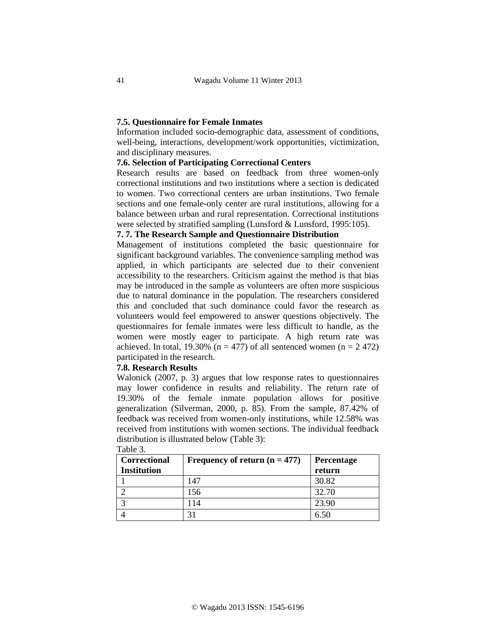## **7.5. Questionnaire for Female Inmates**

Information included socio-demographic data, assessment of conditions, well-being, interactions, development/work opportunities, victimization, and disciplinary measures.

## **7.6. Selection of Participating Correctional Centers**

Research results are based on feedback from three women-only correctional institutions and two institutions where a section is dedicated to women. Two correctional centers are urban institutions. Two female sections and one female-only center are rural institutions, allowing for a balance between urban and rural representation. Correctional institutions were selected by stratified sampling (Lunsford & Lunsford, 1995:105).

## **7. 7. The Research Sample and Questionnaire Distribution**

Management of institutions completed the basic questionnaire for significant background variables. The convenience sampling method was applied, in which participants are selected due to their convenient accessibility to the researchers. Criticism against the method is that bias may be introduced in the sample as volunteers are often more suspicious due to natural dominance in the population. The researchers considered this and concluded that such dominance could favor the research as volunteers would feel empowered to answer questions objectively. The questionnaires for female inmates were less difficult to handle, as the women were mostly eager to participate. A high return rate was achieved. In total, 19.30% ( $n = 477$ ) of all sentenced women ( $n = 2,472$ ) participated in the research.

### **7.8. Research Results**

Walonick (2007, p. 3) argues that low response rates to questionnaires may lower confidence in results and reliability. The return rate of 19.30% of the female inmate population allows for positive generalization (Silverman, 2000, p. 85). From the sample, 87.42% of feedback was received from women-only institutions, while 12.58% was received from institutions with women sections. The individual feedback distribution is illustrated below (Table 3):

| Correctional       | Frequency of return $(n = 477)$ | Percentage |
|--------------------|---------------------------------|------------|
| <b>Institution</b> |                                 | return     |
|                    | 147                             | 30.82      |
|                    | 156                             | 32.70      |
| 2                  | 114                             | 23.90      |
|                    | 21                              | 6.50       |

Table 3.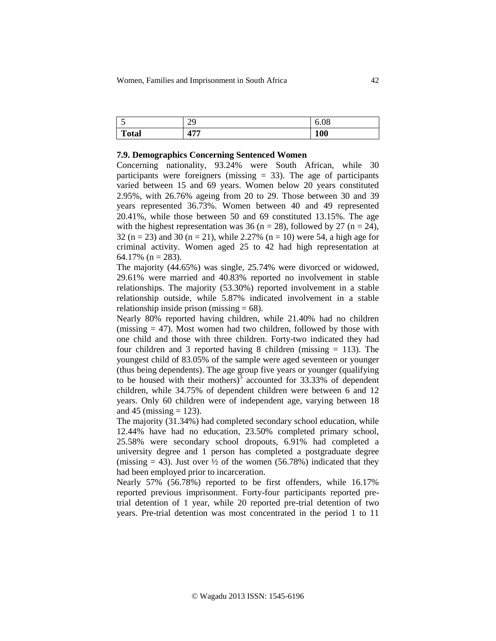| ັ          | 20<br>~           | 6.08       |
|------------|-------------------|------------|
| m<br>∡otal | $A$ $\neg$ $\neg$ | <b>100</b> |

### **7.9. Demographics Concerning Sentenced Women**

Concerning nationality, 93.24% were South African, while 30 participants were foreigners (missing  $= 33$ ). The age of participants varied between 15 and 69 years. Women below 20 years constituted 2.95%, with 26.76% ageing from 20 to 29. Those between 30 and 39 years represented 36.73%. Women between 40 and 49 represented 20.41%, while those between 50 and 69 constituted 13.15%. The age with the highest representation was 36 (n = 28), followed by 27 (n = 24), 32 (n = 23) and 30 (n = 21), while 2.27% (n = 10) were 54, a high age for criminal activity. Women aged 25 to 42 had high representation at 64.17% ( $n = 283$ ).

The majority (44.65%) was single, 25.74% were divorced or widowed, 29.61% were married and 40.83% reported no involvement in stable relationships. The majority (53.30%) reported involvement in a stable relationship outside, while 5.87% indicated involvement in a stable relationship inside prison (missing  $= 68$ ).

Nearly 80% reported having children, while 21.40% had no children (missing  $= 47$ ). Most women had two children, followed by those with one child and those with three children. Forty-two indicated they had four children and 3 reported having 8 children (missing = 113). The youngest child of 83.05% of the sample were aged seventeen or younger (thus being dependents). The age group five years or younger (qualifying to be housed with their mothers)<sup>3</sup> accounted for  $33.33\%$  of dependent children, while 34.75% of dependent children were between 6 and 12 years. Only 60 children were of independent age, varying between 18 and 45 (missing  $= 123$ ).

The majority (31.34%) had completed secondary school education, while 12.44% have had no education, 23.50% completed primary school, 25.58% were secondary school dropouts, 6.91% had completed a university degree and 1 person has completed a postgraduate degree (missing  $= 43$ ). Just over  $\frac{1}{2}$  of the women (56.78%) indicated that they had been employed prior to incarceration.

Nearly 57% (56.78%) reported to be first offenders, while 16.17% reported previous imprisonment. Forty-four participants reported pretrial detention of 1 year, while 20 reported pre-trial detention of two years. Pre-trial detention was most concentrated in the period 1 to 11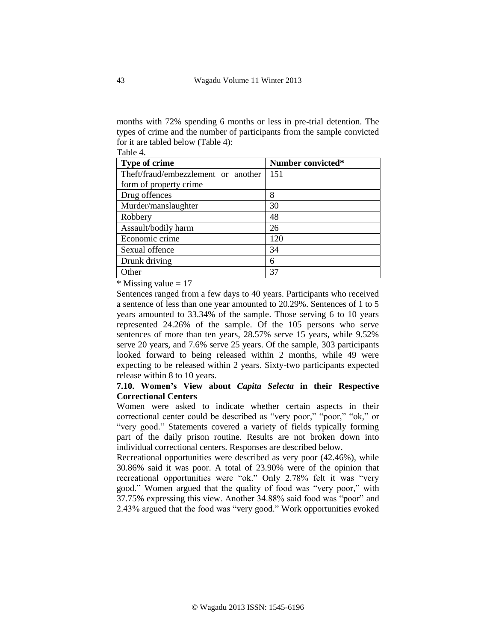months with 72% spending 6 months or less in pre-trial detention. The types of crime and the number of participants from the sample convicted for it are tabled below (Table 4): Table 4.

| Type of crime                       | Number convicted* |
|-------------------------------------|-------------------|
| Theft/fraud/embezzlement or another | 151               |
| form of property crime              |                   |
| Drug offences                       | 8                 |
| Murder/manslaughter                 | 30                |
| Robbery                             | 48                |
| Assault/bodily harm                 | 26                |
| Economic crime                      | 120               |
| Sexual offence                      | 34                |
| Drunk driving                       | 6                 |
| Other                               | 37                |

 $*$  Missing value = 17

Sentences ranged from a few days to 40 years. Participants who received a sentence of less than one year amounted to 20.29%. Sentences of 1 to 5 years amounted to 33.34% of the sample. Those serving 6 to 10 years represented 24.26% of the sample. Of the 105 persons who serve sentences of more than ten years, 28.57% serve 15 years, while 9.52% serve 20 years, and 7.6% serve 25 years. Of the sample, 303 participants looked forward to being released within 2 months, while 49 were expecting to be released within 2 years. Sixty-two participants expected release within 8 to 10 years.

## **7.10. Women's View about** *Capita Selecta* **in their Respective Correctional Centers**

Women were asked to indicate whether certain aspects in their correctional center could be described as "very poor," "poor," "ok," or "very good." Statements covered a variety of fields typically forming part of the daily prison routine. Results are not broken down into individual correctional centers. Responses are described below.

Recreational opportunities were described as very poor (42.46%), while 30.86% said it was poor. A total of 23.90% were of the opinion that recreational opportunities were "ok." Only 2.78% felt it was "very good." Women argued that the quality of food was "very poor," with 37.75% expressing this view. Another 34.88% said food was "poor" and 2.43% argued that the food was "very good." Work opportunities evoked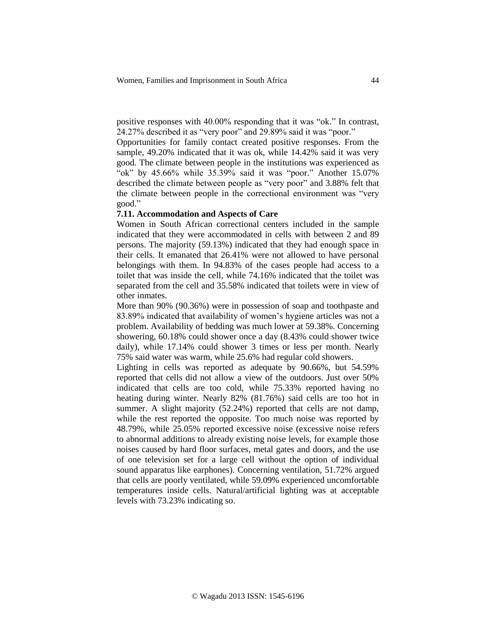positive responses with 40.00% responding that it was "ok." In contrast, 24.27% described it as "very poor" and 29.89% said it was "poor."

Opportunities for family contact created positive responses. From the sample, 49.20% indicated that it was ok, while 14.42% said it was very good. The climate between people in the institutions was experienced as "ok" by 45.66% while 35.39% said it was "poor." Another 15.07% described the climate between people as "very poor" and 3.88% felt that the climate between people in the correctional environment was "very good."

# **7.11. Accommodation and Aspects of Care**

Women in South African correctional centers included in the sample indicated that they were accommodated in cells with between 2 and 89 persons. The majority (59.13%) indicated that they had enough space in their cells. It emanated that 26.41% were not allowed to have personal belongings with them. In 94.83% of the cases people had access to a toilet that was inside the cell, while 74.16% indicated that the toilet was separated from the cell and 35.58% indicated that toilets were in view of other inmates.

More than 90% (90.36%) were in possession of soap and toothpaste and 83.89% indicated that availability of women's hygiene articles was not a problem. Availability of bedding was much lower at 59.38%. Concerning showering, 60.18% could shower once a day (8.43% could shower twice daily), while 17.14% could shower 3 times or less per month. Nearly 75% said water was warm, while 25.6% had regular cold showers.

Lighting in cells was reported as adequate by 90.66%, but 54.59% reported that cells did not allow a view of the outdoors. Just over 50% indicated that cells are too cold, while 75.33% reported having no heating during winter. Nearly 82% (81.76%) said cells are too hot in summer. A slight majority (52.24%) reported that cells are not damp, while the rest reported the opposite. Too much noise was reported by 48.79%, while 25.05% reported excessive noise (excessive noise refers to abnormal additions to already existing noise levels, for example those noises caused by hard floor surfaces, metal gates and doors, and the use of one television set for a large cell without the option of individual sound apparatus like earphones). Concerning ventilation, 51.72% argued that cells are poorly ventilated, while 59.09% experienced uncomfortable temperatures inside cells. Natural/artificial lighting was at acceptable levels with 73.23% indicating so.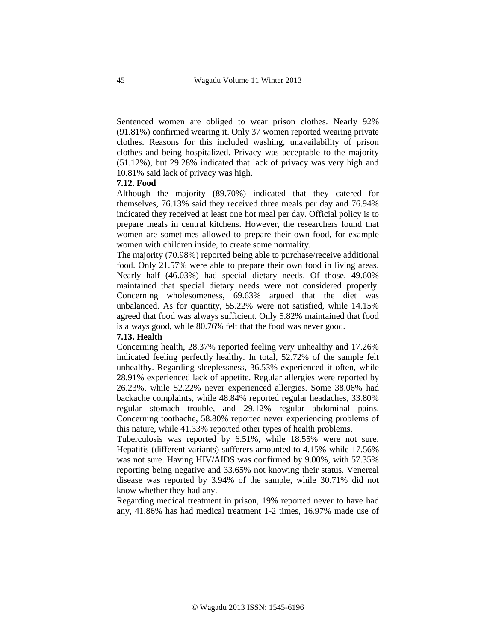Sentenced women are obliged to wear prison clothes. Nearly 92% (91.81%) confirmed wearing it. Only 37 women reported wearing private clothes. Reasons for this included washing, unavailability of prison clothes and being hospitalized. Privacy was acceptable to the majority (51.12%), but 29.28% indicated that lack of privacy was very high and 10.81% said lack of privacy was high.

### **7.12. Food**

Although the majority (89.70%) indicated that they catered for themselves, 76.13% said they received three meals per day and 76.94% indicated they received at least one hot meal per day. Official policy is to prepare meals in central kitchens. However, the researchers found that women are sometimes allowed to prepare their own food, for example women with children inside, to create some normality.

The majority (70.98%) reported being able to purchase/receive additional food. Only 21.57% were able to prepare their own food in living areas. Nearly half (46.03%) had special dietary needs. Of those, 49.60% maintained that special dietary needs were not considered properly. Concerning wholesomeness, 69.63% argued that the diet was unbalanced. As for quantity, 55.22% were not satisfied, while 14.15% agreed that food was always sufficient. Only 5.82% maintained that food is always good, while 80.76% felt that the food was never good.

## **7.13. Health**

Concerning health, 28.37% reported feeling very unhealthy and 17.26% indicated feeling perfectly healthy. In total, 52.72% of the sample felt unhealthy. Regarding sleeplessness, 36.53% experienced it often, while 28.91% experienced lack of appetite. Regular allergies were reported by 26.23%, while 52.22% never experienced allergies. Some 38.06% had backache complaints, while 48.84% reported regular headaches, 33.80% regular stomach trouble, and 29.12% regular abdominal pains. Concerning toothache, 58.80% reported never experiencing problems of this nature, while 41.33% reported other types of health problems.

Tuberculosis was reported by 6.51%, while 18.55% were not sure. Hepatitis (different variants) sufferers amounted to 4.15% while 17.56% was not sure. Having HIV/AIDS was confirmed by 9.00%, with 57.35% reporting being negative and 33.65% not knowing their status. Venereal disease was reported by 3.94% of the sample, while 30.71% did not know whether they had any.

Regarding medical treatment in prison, 19% reported never to have had any, 41.86% has had medical treatment 1-2 times, 16.97% made use of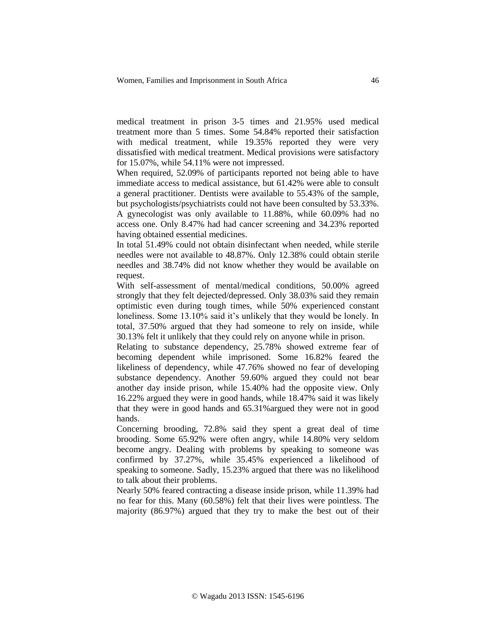medical treatment in prison 3-5 times and 21.95% used medical treatment more than 5 times. Some 54.84% reported their satisfaction with medical treatment, while 19.35% reported they were very dissatisfied with medical treatment. Medical provisions were satisfactory for 15.07%, while 54.11% were not impressed.

When required, 52.09% of participants reported not being able to have immediate access to medical assistance, but 61.42% were able to consult a general practitioner. Dentists were available to 55.43% of the sample, but psychologists/psychiatrists could not have been consulted by 53.33%. A gynecologist was only available to 11.88%, while 60.09% had no access one. Only 8.47% had had cancer screening and 34.23% reported

having obtained essential medicines.

In total 51.49% could not obtain disinfectant when needed, while sterile needles were not available to 48.87%. Only 12.38% could obtain sterile needles and 38.74% did not know whether they would be available on request.

With self-assessment of mental/medical conditions, 50.00% agreed strongly that they felt dejected/depressed. Only 38.03% said they remain optimistic even during tough times, while 50% experienced constant loneliness. Some 13.10% said it's unlikely that they would be lonely. In total, 37.50% argued that they had someone to rely on inside, while 30.13% felt it unlikely that they could rely on anyone while in prison.

Relating to substance dependency, 25.78% showed extreme fear of becoming dependent while imprisoned. Some 16.82% feared the likeliness of dependency, while 47.76% showed no fear of developing substance dependency. Another 59.60% argued they could not bear another day inside prison, while 15.40% had the opposite view. Only 16.22% argued they were in good hands, while 18.47% said it was likely that they were in good hands and 65.31%argued they were not in good hands.

Concerning brooding, 72.8% said they spent a great deal of time brooding. Some 65.92% were often angry, while 14.80% very seldom become angry. Dealing with problems by speaking to someone was confirmed by 37.27%, while 35.45% experienced a likelihood of speaking to someone. Sadly, 15.23% argued that there was no likelihood to talk about their problems.

Nearly 50% feared contracting a disease inside prison, while 11.39% had no fear for this. Many (60.58%) felt that their lives were pointless. The majority (86.97%) argued that they try to make the best out of their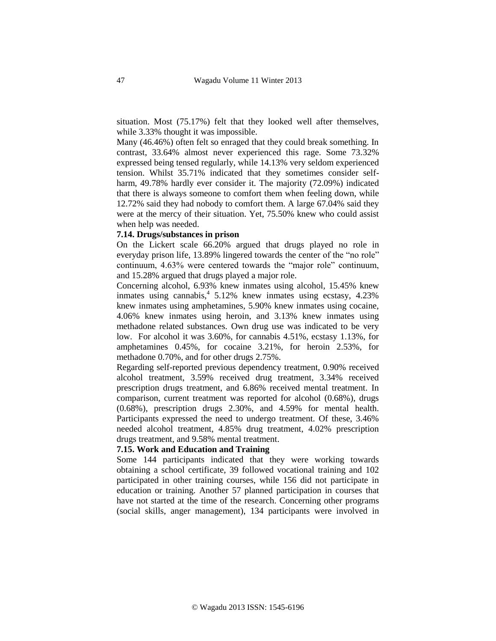situation. Most (75.17%) felt that they looked well after themselves, while 3.33% thought it was impossible.

Many (46.46%) often felt so enraged that they could break something. In contrast, 33.64% almost never experienced this rage. Some 73.32% expressed being tensed regularly, while 14.13% very seldom experienced tension. Whilst 35.71% indicated that they sometimes consider selfharm, 49.78% hardly ever consider it. The majority (72.09%) indicated that there is always someone to comfort them when feeling down, while 12.72% said they had nobody to comfort them. A large 67.04% said they were at the mercy of their situation. Yet, 75.50% knew who could assist when help was needed.

### **7.14. Drugs/substances in prison**

On the Lickert scale 66.20% argued that drugs played no role in everyday prison life, 13.89% lingered towards the center of the "no role" continuum, 4.63% were centered towards the "major role" continuum, and 15.28% argued that drugs played a major role.

Concerning alcohol, 6.93% knew inmates using alcohol, 15.45% knew inmates using cannabis,<sup>4</sup> 5.12% knew inmates using ecstasy, 4.23% knew inmates using amphetamines, 5.90% knew inmates using cocaine, 4.06% knew inmates using heroin, and 3.13% knew inmates using methadone related substances. Own drug use was indicated to be very low. For alcohol it was 3.60%, for cannabis 4.51%, ecstasy 1.13%, for amphetamines 0.45%, for cocaine 3.21%, for heroin 2.53%, for methadone 0.70%, and for other drugs 2.75%.

Regarding self-reported previous dependency treatment, 0.90% received alcohol treatment, 3.59% received drug treatment, 3.34% received prescription drugs treatment, and 6.86% received mental treatment. In comparison, current treatment was reported for alcohol (0.68%), drugs (0.68%), prescription drugs 2.30%, and 4.59% for mental health. Participants expressed the need to undergo treatment. Of these, 3.46% needed alcohol treatment, 4.85% drug treatment, 4.02% prescription drugs treatment, and 9.58% mental treatment.

### **7.15. Work and Education and Training**

Some 144 participants indicated that they were working towards obtaining a school certificate, 39 followed vocational training and 102 participated in other training courses, while 156 did not participate in education or training. Another 57 planned participation in courses that have not started at the time of the research. Concerning other programs (social skills, anger management), 134 participants were involved in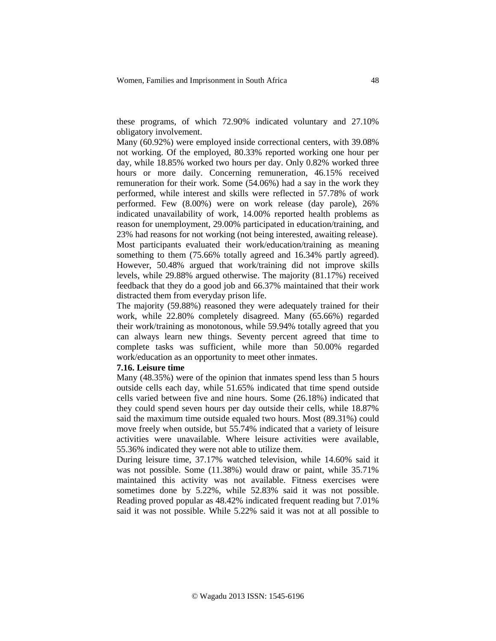these programs, of which 72.90% indicated voluntary and 27.10% obligatory involvement.

Many (60.92%) were employed inside correctional centers, with 39.08% not working. Of the employed, 80.33% reported working one hour per day, while 18.85% worked two hours per day. Only 0.82% worked three hours or more daily. Concerning remuneration, 46.15% received remuneration for their work. Some (54.06%) had a say in the work they performed, while interest and skills were reflected in 57.78% of work performed. Few (8.00%) were on work release (day parole), 26% indicated unavailability of work, 14.00% reported health problems as reason for unemployment, 29.00% participated in education/training, and 23% had reasons for not working (not being interested, awaiting release). Most participants evaluated their work/education/training as meaning something to them (75.66% totally agreed and 16.34% partly agreed). However, 50.48% argued that work/training did not improve skills levels, while 29.88% argued otherwise. The majority (81.17%) received feedback that they do a good job and 66.37% maintained that their work distracted them from everyday prison life.

The majority (59.88%) reasoned they were adequately trained for their work, while 22.80% completely disagreed. Many (65.66%) regarded their work/training as monotonous, while 59.94% totally agreed that you can always learn new things. Seventy percent agreed that time to complete tasks was sufficient, while more than 50.00% regarded work/education as an opportunity to meet other inmates.

### **7.16. Leisure time**

Many (48.35%) were of the opinion that inmates spend less than 5 hours outside cells each day, while 51.65% indicated that time spend outside cells varied between five and nine hours. Some (26.18%) indicated that they could spend seven hours per day outside their cells, while 18.87% said the maximum time outside equaled two hours. Most (89.31%) could move freely when outside, but 55.74% indicated that a variety of leisure activities were unavailable. Where leisure activities were available, 55.36% indicated they were not able to utilize them.

During leisure time, 37.17% watched television, while 14.60% said it was not possible. Some (11.38%) would draw or paint, while 35.71% maintained this activity was not available. Fitness exercises were sometimes done by 5.22%, while 52.83% said it was not possible. Reading proved popular as 48.42% indicated frequent reading but 7.01% said it was not possible. While 5.22% said it was not at all possible to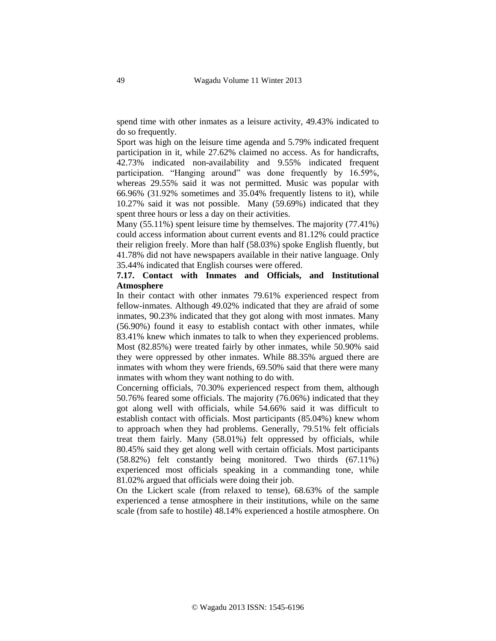spend time with other inmates as a leisure activity, 49.43% indicated to do so frequently.

Sport was high on the leisure time agenda and 5.79% indicated frequent participation in it, while 27.62% claimed no access. As for handicrafts, 42.73% indicated non-availability and 9.55% indicated frequent participation. "Hanging around" was done frequently by 16.59%, whereas 29.55% said it was not permitted. Music was popular with 66.96% (31.92% sometimes and 35.04% frequently listens to it), while 10.27% said it was not possible. Many (59.69%) indicated that they spent three hours or less a day on their activities.

Many (55.11%) spent leisure time by themselves. The majority (77.41%) could access information about current events and 81.12% could practice their religion freely. More than half (58.03%) spoke English fluently, but 41.78% did not have newspapers available in their native language. Only 35.44% indicated that English courses were offered.

# **7.17. Contact with Inmates and Officials, and Institutional Atmosphere**

In their contact with other inmates 79.61% experienced respect from fellow-inmates. Although 49.02% indicated that they are afraid of some inmates, 90.23% indicated that they got along with most inmates. Many (56.90%) found it easy to establish contact with other inmates, while 83.41% knew which inmates to talk to when they experienced problems. Most (82.85%) were treated fairly by other inmates, while 50.90% said they were oppressed by other inmates. While 88.35% argued there are inmates with whom they were friends, 69.50% said that there were many inmates with whom they want nothing to do with.

Concerning officials, 70.30% experienced respect from them, although 50.76% feared some officials. The majority (76.06%) indicated that they got along well with officials, while 54.66% said it was difficult to establish contact with officials. Most participants (85.04%) knew whom to approach when they had problems. Generally, 79.51% felt officials treat them fairly. Many (58.01%) felt oppressed by officials, while 80.45% said they get along well with certain officials. Most participants (58.82%) felt constantly being monitored. Two thirds (67.11%) experienced most officials speaking in a commanding tone, while 81.02% argued that officials were doing their job.

On the Lickert scale (from relaxed to tense), 68.63% of the sample experienced a tense atmosphere in their institutions, while on the same scale (from safe to hostile) 48.14% experienced a hostile atmosphere. On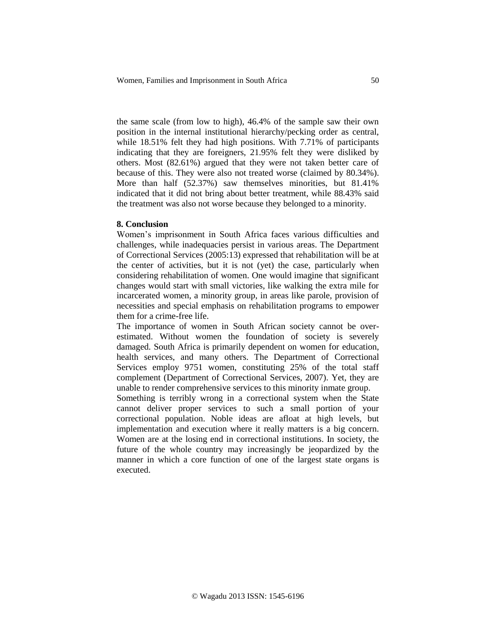the same scale (from low to high), 46.4% of the sample saw their own position in the internal institutional hierarchy/pecking order as central, while 18.51% felt they had high positions. With 7.71% of participants indicating that they are foreigners, 21.95% felt they were disliked by others. Most (82.61%) argued that they were not taken better care of because of this. They were also not treated worse (claimed by 80.34%). More than half (52.37%) saw themselves minorities, but 81.41% indicated that it did not bring about better treatment, while 88.43% said the treatment was also not worse because they belonged to a minority.

### **8. Conclusion**

Women's imprisonment in South Africa faces various difficulties and challenges, while inadequacies persist in various areas. The Department of Correctional Services (2005:13) expressed that rehabilitation will be at the center of activities, but it is not (yet) the case, particularly when considering rehabilitation of women. One would imagine that significant changes would start with small victories, like walking the extra mile for incarcerated women, a minority group, in areas like parole, provision of necessities and special emphasis on rehabilitation programs to empower them for a crime-free life.

The importance of women in South African society cannot be overestimated. Without women the foundation of society is severely damaged. South Africa is primarily dependent on women for education, health services, and many others. The Department of Correctional Services employ 9751 women, constituting 25% of the total staff complement (Department of Correctional Services, 2007). Yet, they are unable to render comprehensive services to this minority inmate group.

Something is terribly wrong in a correctional system when the State cannot deliver proper services to such a small portion of your correctional population. Noble ideas are afloat at high levels, but implementation and execution where it really matters is a big concern. Women are at the losing end in correctional institutions. In society, the future of the whole country may increasingly be jeopardized by the manner in which a core function of one of the largest state organs is executed.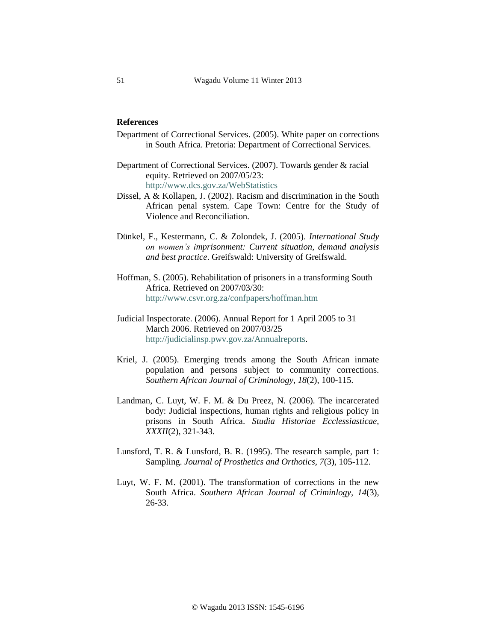## **References**

- Department of Correctional Services. (2005). White paper on corrections in South Africa. Pretoria: Department of Correctional Services.
- Department of Correctional Services. (2007). Towards gender & racial equity. Retrieved on 2007/05/23: <http://www.dcs.gov.za/WebStatistics>
- Dissel, A & Kollapen, J. (2002). Racism and discrimination in the South African penal system. Cape Town: Centre for the Study of Violence and Reconciliation.
- Dünkel, F., Kestermann, C. & Zolondek, J. (2005). *International Study on women's imprisonment: Current situation, demand analysis and best practice*. Greifswald: University of Greifswald.
- Hoffman, S. (2005). Rehabilitation of prisoners in a transforming South Africa. Retrieved on 2007/03/30: <http://www.csvr.org.za/confpapers/hoffman.htm>
- Judicial Inspectorate. (2006). Annual Report for 1 April 2005 to 31 March 2006. Retrieved on 2007/03/25 [http://judicialinsp.pwv.gov.za/Annualreports.](http://judicialinsp.pwv.gov.za/Annualreports)
- Kriel, J. (2005). Emerging trends among the South African inmate population and persons subject to community corrections. *Southern African Journal of Criminology, 18*(2), 100-115.
- Landman, C. Luyt, W. F. M. & Du Preez, N. (2006). The incarcerated body: Judicial inspections, human rights and religious policy in prisons in South Africa. *Studia Historiae Ecclessiasticae, XXXII*(2), 321-343.
- Lunsford, T. R. & Lunsford, B. R. (1995). The research sample, part 1: Sampling. *Journal of Prosthetics and Orthotics, 7*(3), 105-112.
- Luyt, W. F. M. (2001). The transformation of corrections in the new South Africa. *Southern African Journal of Criminlogy, 14*(3), 26-33.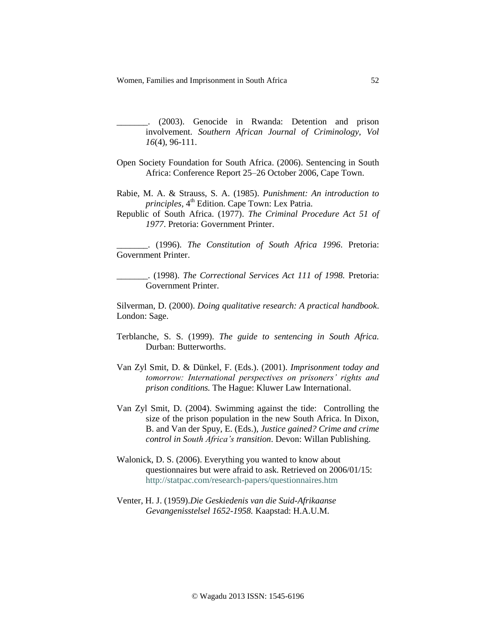Women, Families and Imprisonment in South Africa 52

\_\_\_\_\_\_\_. (2003). Genocide in Rwanda: Detention and prison involvement. *Southern African Journal of Criminology, Vol 16*(4), 96-111.

- Open Society Foundation for South Africa. (2006). Sentencing in South Africa: Conference Report 25–26 October 2006, Cape Town.
- Rabie, M. A. & Strauss, S. A. (1985). *Punishment: An introduction to principles,* 4 th Edition. Cape Town: Lex Patria.
- Republic of South Africa. (1977). *The Criminal Procedure Act 51 of 1977*. Pretoria: Government Printer.

\_\_\_\_\_\_\_. (1996). *The Constitution of South Africa 1996*. Pretoria: Government Printer.

\_\_\_\_\_\_\_. (1998). *The Correctional Services Act 111 of 1998.* Pretoria: Government Printer.

Silverman, D. (2000). *Doing qualitative research: A practical handbook*. London: Sage.

- Terblanche, S. S. (1999). *The guide to sentencing in South Africa.* Durban: Butterworths.
- Van Zyl Smit, D. & Dünkel, F. (Eds.). (2001). *Imprisonment today and tomorrow: International perspectives on prisoners' rights and prison conditions.* The Hague: Kluwer Law International.
- Van Zyl Smit, D. (2004). Swimming against the tide: Controlling the size of the prison population in the new South Africa. In Dixon, B. and Van der Spuy, E. (Eds.), *Justice gained? Crime and crime control in South Africa's transition*. Devon: Willan Publishing.
- Walonick, D. S. (2006). Everything you wanted to know about questionnaires but were afraid to ask. Retrieved on 2006/01/15: <http://statpac.com/research-papers/questionnaires.htm>
- Venter, H. J. (1959).*Die Geskiedenis van die Suid-Afrikaanse Gevangenisstelsel 1652-1958.* Kaapstad: H.A.U.M.